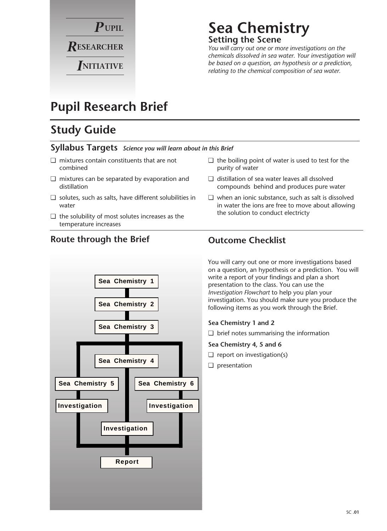

### **Sea Chemistry Setting the Scene**

*You will carry out one or more investigations on the chemicals dissolved in sea water. Your investigation will be based on a question, an hypothesis or a prediction, relating to the chemical composition of sea water.*

### **Pupil Research Brief**

### **Study Guide**

#### **Syllabus Targets** *Science you will learn about in this Brief*

- ❏ mixtures contain constituents that are not combined
- ❏ mixtures can be separated by evaporation and distillation
- ❏ solutes, such as salts, have different solubilities in water
- ❏ the solubility of most solutes increases as the temperature increases
- ❏ the boiling point of water is used to test for the purity of water
- ❏ distillation of sea water leaves all dssolved compounds behind and produces pure water
- ❏ when an ionic substance, such as salt is dissolved in water the ions are free to move about allowing the solution to conduct electricty

You will carry out one or more investigations based on a question, an hypothesis or a prediction. You will write a report of your findings and plan a short presentation to the class. You can use the *Investigation Flowchart* to help you plan your investigation. You should make sure you produce the following items as you work through the Brief.

#### **Sea Chemistry 1 and 2**

❏ brief notes summarising the information

#### **Sea Chemistry 4, 5 and 6**

- $\Box$  report on investigation(s)
- ❏ presentation



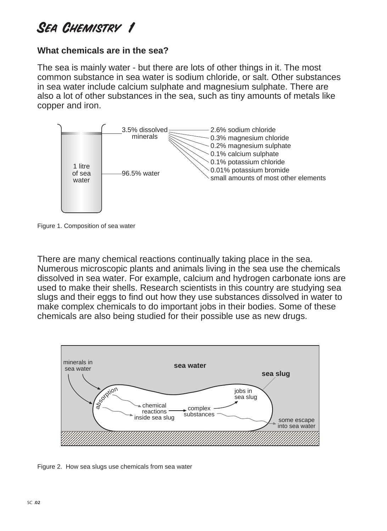### **What chemicals are in the sea?**

The sea is mainly water - but there are lots of other things in it. The most common substance in sea water is sodium chloride, or salt. Other substances in sea water include calcium sulphate and magnesium sulphate. There are also a lot of other substances in the sea, such as tiny amounts of metals like copper and iron.



Figure 1. Composition of sea water

There are many chemical reactions continually taking place in the sea. Numerous microscopic plants and animals living in the sea use the chemicals dissolved in sea water. For example, calcium and hydrogen carbonate ions are used to make their shells. Research scientists in this country are studying sea slugs and their eggs to find out how they use substances dissolved in water to make complex chemicals to do important jobs in their bodies. Some of these chemicals are also being studied for their possible use as new drugs.



Figure 2. How sea slugs use chemicals from sea water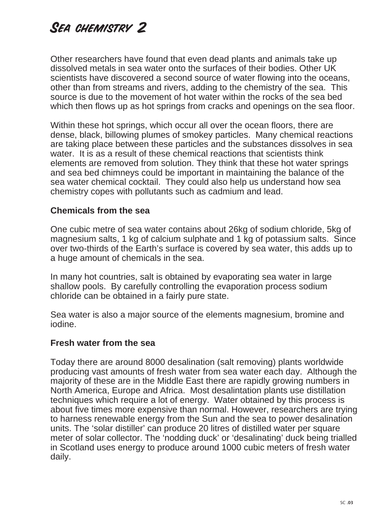Other researchers have found that even dead plants and animals take up dissolved metals in sea water onto the surfaces of their bodies. Other UK scientists have discovered a second source of water flowing into the oceans, other than from streams and rivers, adding to the chemistry of the sea. This source is due to the movement of hot water within the rocks of the sea bed which then flows up as hot springs from cracks and openings on the sea floor.

Within these hot springs, which occur all over the ocean floors, there are dense, black, billowing plumes of smokey particles. Many chemical reactions are taking place between these particles and the substances dissolves in sea water. It is as a result of these chemical reactions that scientists think elements are removed from solution. They think that these hot water springs and sea bed chimneys could be important in maintaining the balance of the sea water chemical cocktail. They could also help us understand how sea chemistry copes with pollutants such as cadmium and lead.

#### **Chemicals from the sea**

One cubic metre of sea water contains about 26kg of sodium chloride, 5kg of magnesium salts, 1 kg of calcium sulphate and 1 kg of potassium salts. Since over two-thirds of the Earth's surface is covered by sea water, this adds up to a huge amount of chemicals in the sea.

In many hot countries, salt is obtained by evaporating sea water in large shallow pools. By carefully controlling the evaporation process sodium chloride can be obtained in a fairly pure state.

Sea water is also a major source of the elements magnesium, bromine and iodine.

#### **Fresh water from the sea**

Today there are around 8000 desalination (salt removing) plants worldwide producing vast amounts of fresh water from sea water each day. Although the majority of these are in the Middle East there are rapidly growing numbers in North America, Europe and Africa. Most desalintation plants use distillation techniques which require a lot of energy. Water obtained by this process is about five times more expensive than normal. However, researchers are trying to harness renewable energy from the Sun and the sea to power desalination units. The 'solar distiller' can produce 20 litres of distilled water per square meter of solar collector. The 'nodding duck' or 'desalinating' duck being trialled in Scotland uses energy to produce around 1000 cubic meters of fresh water daily.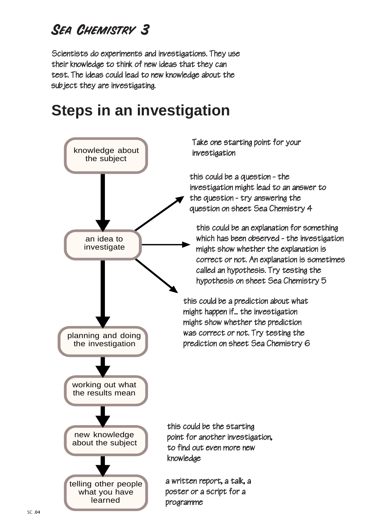Scientists do experiments and investigations. They use their knowledge to think of new ideas that they can test. The ideas could lead to new knowledge about the subject they are investigating.

# **Steps in an investigation**

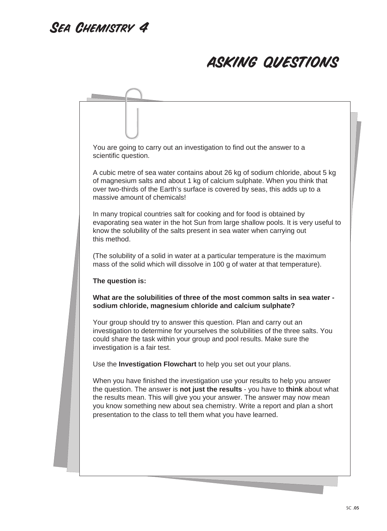## asking questions

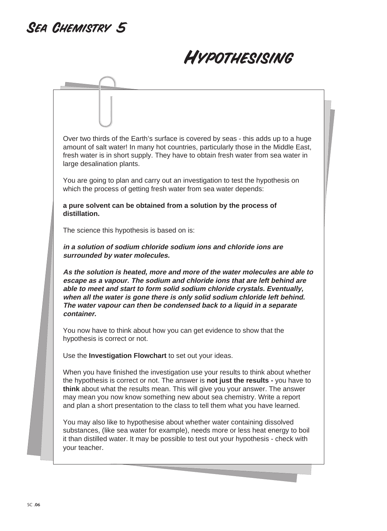# Hypothesising

Over two thirds of the Earth's surface is covered by seas - this adds up to a huge amount of salt water! In many hot countries, particularly those in the Middle East, fresh water is in short supply. They have to obtain fresh water from sea water in large desalination plants. You are going to plan and carry out an investigation to test the hypothesis on which the process of getting fresh water from sea water depends: **a pure solvent can be obtained from a solution by the process of distillation.** The science this hypothesis is based on is: **in a solution of sodium chloride sodium ions and chloride ions are surrounded by water molecules. As the solution is heated, more and more of the water molecules are able to escape as a vapour. The sodium and chloride ions that are left behind are able to meet and start to form solid sodium chloride crystals. Eventually, when all the water is gone there is only solid sodium chloride left behind. The water vapour can then be condensed back to a liquid in a separate container.** You now have to think about how you can get evidence to show that the hypothesis is correct or not. Use the **Investigation Flowchart** to set out your ideas. When you have finished the investigation use your results to think about whether the hypothesis is correct or not. The answer is **not just the results -** you have to **think** about what the results mean. This will give you your answer. The answer may mean you now know something new about sea chemistry. Write a report and plan a short presentation to the class to tell them what you have learned. You may also like to hypothesise about whether water containing dissolved

substances, (like sea water for example), needs more or less heat energy to boil it than distilled water. It may be possible to test out your hypothesis - check with your teacher.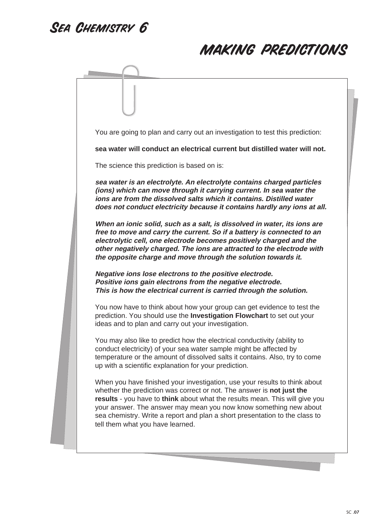### making predictions